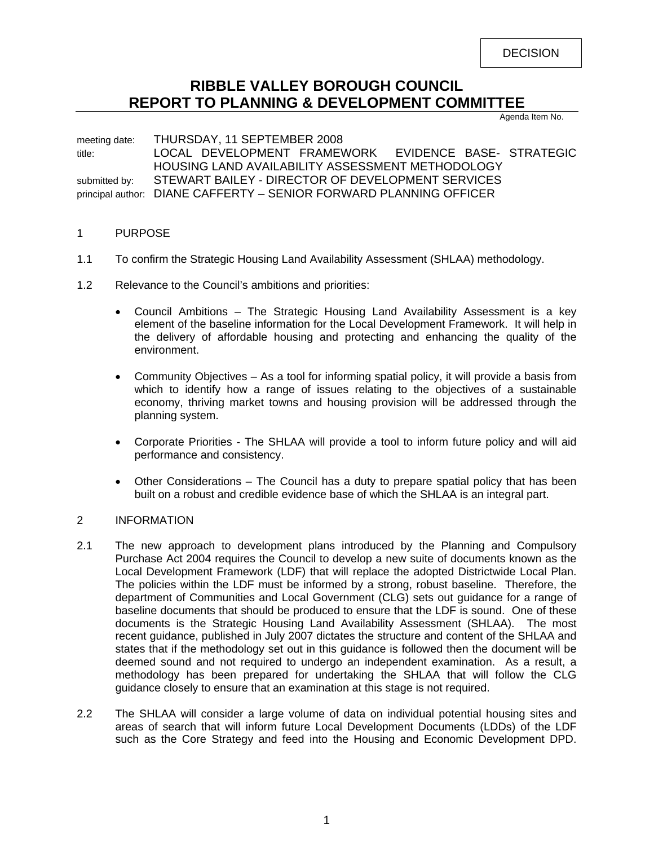DECISION

# **RIBBLE VALLEY BOROUGH COUNCIL REPORT TO PLANNING & DEVELOPMENT COMMITTEE**

Agenda Item No.

meeting date: THURSDAY, 11 SEPTEMBER 2008 title: LOCAL DEVELOPMENT FRAMEWORK EVIDENCE BASE- STRATEGIC HOUSING LAND AVAILABILITY ASSESSMENT METHODOLOGY submitted by: STEWART BAILEY - DIRECTOR OF DEVELOPMENT SERVICES principal author: DIANE CAFFERTY – SENIOR FORWARD PLANNING OFFICER

#### 1 PURPOSE

- 1.1 To confirm the Strategic Housing Land Availability Assessment (SHLAA) methodology.
- 1.2 Relevance to the Council's ambitions and priorities:
	- Council Ambitions The Strategic Housing Land Availability Assessment is a key element of the baseline information for the Local Development Framework. It will help in the delivery of affordable housing and protecting and enhancing the quality of the environment.
	- Community Objectives As a tool for informing spatial policy, it will provide a basis from which to identify how a range of issues relating to the objectives of a sustainable economy, thriving market towns and housing provision will be addressed through the planning system.
	- Corporate Priorities The SHLAA will provide a tool to inform future policy and will aid performance and consistency.
	- Other Considerations The Council has a duty to prepare spatial policy that has been built on a robust and credible evidence base of which the SHLAA is an integral part.

#### 2 INFORMATION

- 2.1 The new approach to development plans introduced by the Planning and Compulsory Purchase Act 2004 requires the Council to develop a new suite of documents known as the Local Development Framework (LDF) that will replace the adopted Districtwide Local Plan. The policies within the LDF must be informed by a strong, robust baseline. Therefore, the department of Communities and Local Government (CLG) sets out guidance for a range of baseline documents that should be produced to ensure that the LDF is sound. One of these documents is the Strategic Housing Land Availability Assessment (SHLAA). The most recent guidance, published in July 2007 dictates the structure and content of the SHLAA and states that if the methodology set out in this guidance is followed then the document will be deemed sound and not required to undergo an independent examination. As a result, a methodology has been prepared for undertaking the SHLAA that will follow the CLG guidance closely to ensure that an examination at this stage is not required.
- 2.2 The SHLAA will consider a large volume of data on individual potential housing sites and areas of search that will inform future Local Development Documents (LDDs) of the LDF such as the Core Strategy and feed into the Housing and Economic Development DPD.